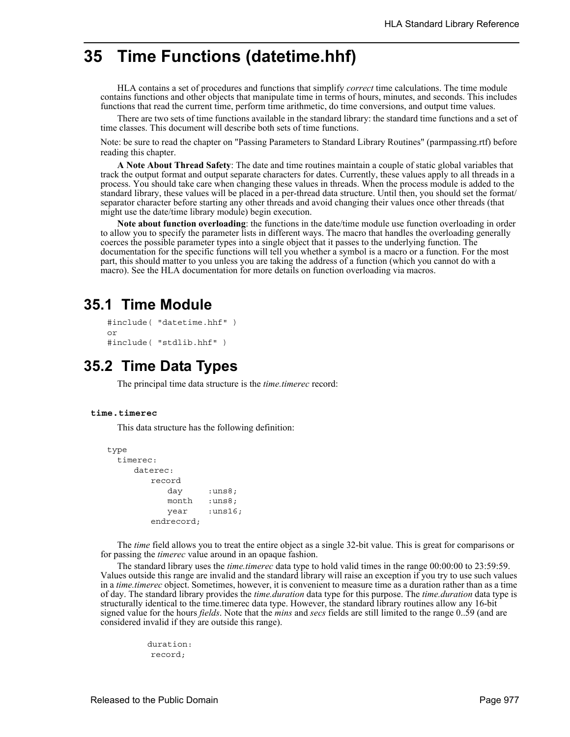# **35 Time Functions (datetime.hhf)**

HLA contains a set of procedures and functions that simplify *correct* time calculations. The time module contains functions and other objects that manipulate time in terms of hours, minutes, and seconds. This includes functions that read the current time, perform time arithmetic, do time conversions, and output time values.

There are two sets of time functions available in the standard library: the standard time functions and a set of time classes. This document will describe both sets of time functions.

Note: be sure to read the chapter on "Passing Parameters to Standard Library Routines" (parmpassing.rtf) before reading this chapter.

**A Note About Thread Safety**: The date and time routines maintain a couple of static global variables that track the output format and output separate characters for dates. Currently, these values apply to all threads in a process. You should take care when changing these values in threads. When the process module is added to the standard library, these values will be placed in a per-thread data structure. Until then, you should set the format/ separator character before starting any other threads and avoid changing their values once other threads (that might use the date/time library module) begin execution.

**Note about function overloading**: the functions in the date/time module use function overloading in order to allow you to specify the parameter lists in different ways. The macro that handles the overloading generally coerces the possible parameter types into a single object that it passes to the underlying function. The documentation for the specific functions will tell you whether a symbol is a macro or a function. For the most part, this should matter to you unless you are taking the address of a function (which you cannot do with a macro). See the HLA documentation for more details on function overloading via macros.

# **35.1 Time Module**

```
#include( "datetime.hhf" )
or
#include( "stdlib.hhf" )
```
# **35.2 Time Data Types**

The principal time data structure is the *time.timerec* record:

# **time.timerec**

This data structure has the following definition:

```
type
 timerec:
     daterec: 
        record
           day :uns8;
           month :uns8;
           year :uns16;
        endrecord;
```
The *time* field allows you to treat the entire object as a single 32-bit value. This is great for comparisons or for passing the *timerec* value around in an opaque fashion.

The standard library uses the *time.timerec* data type to hold valid times in the range 00:00:00 to 23:59:59. Values outside this range are invalid and the standard library will raise an exception if you try to use such values in a *time.timerec* object. Sometimes, however, it is convenient to measure time as a duration rather than as a time of day. The standard library provides the *time.duration* data type for this purpose. The *time.duration* data type is structurally identical to the time.timerec data type. However, the standard library routines allow any 16-bit signed value for the hours *fields*. Note that the *mins* and *secs* fields are still limited to the range 0..59 (and are considered invalid if they are outside this range).

> duration: record;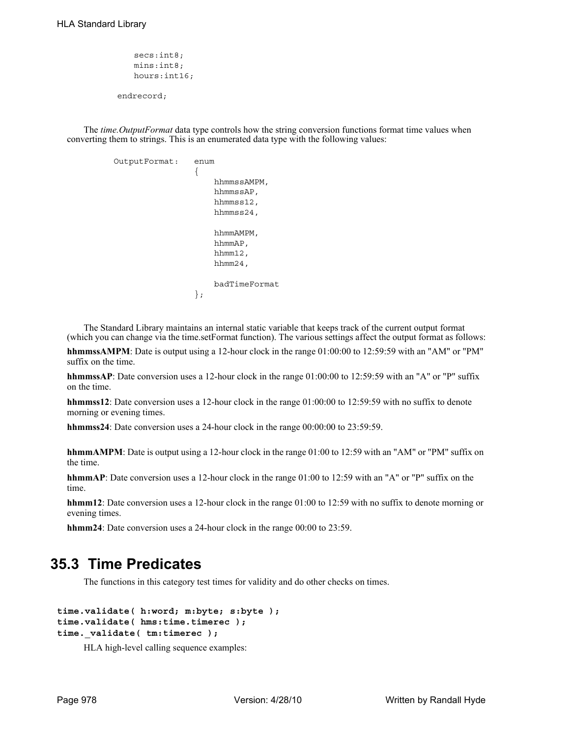```
secs:int8;
   mins:int8;
   hours:int16;
endrecord;
```
The *time.OutputFormat* data type controls how the string conversion functions format time values when converting them to strings. This is an enumerated data type with the following values:

```
 OutputFormat: enum
\{ hhmmssAMPM,
                       hhmmssAP,
                       hhmmss12,
                       hhmmss24,
                       hhmmAMPM,
                       hhmmAP,
                       hhmm12,
                       hhmm24,
                       badTimeFormat 
 };
```
The Standard Library maintains an internal static variable that keeps track of the current output format (which you can change via the time.setFormat function). The various settings affect the output format as follows:

**hhmmssAMPM**: Date is output using a 12-hour clock in the range 01:00:00 to 12:59:59 with an "AM" or "PM" suffix on the time.

**hhmmssAP**: Date conversion uses a 12-hour clock in the range 01:00:00 to 12:59:59 with an "A" or "P" suffix on the time.

**hhmmss12**: Date conversion uses a 12-hour clock in the range 01:00:00 to 12:59:59 with no suffix to denote morning or evening times.

**hhmmss24**: Date conversion uses a 24-hour clock in the range 00:00:00 to 23:59:59.

**hhmmAMPM**: Date is output using a 12-hour clock in the range 01:00 to 12:59 with an "AM" or "PM" suffix on the time.

**hhmmAP**: Date conversion uses a 12-hour clock in the range 01:00 to 12:59 with an "A" or "P" suffix on the time.

**hhmm12**: Date conversion uses a 12-hour clock in the range 01:00 to 12:59 with no suffix to denote morning or evening times.

**hhmm24**: Date conversion uses a 24-hour clock in the range 00:00 to 23:59.

# **35.3 Time Predicates**

The functions in this category test times for validity and do other checks on times.

```
time.validate( h:word; m:byte; s:byte );
time.validate( hms:time.timerec );
time._validate( tm:timerec );
```
HLA high-level calling sequence examples: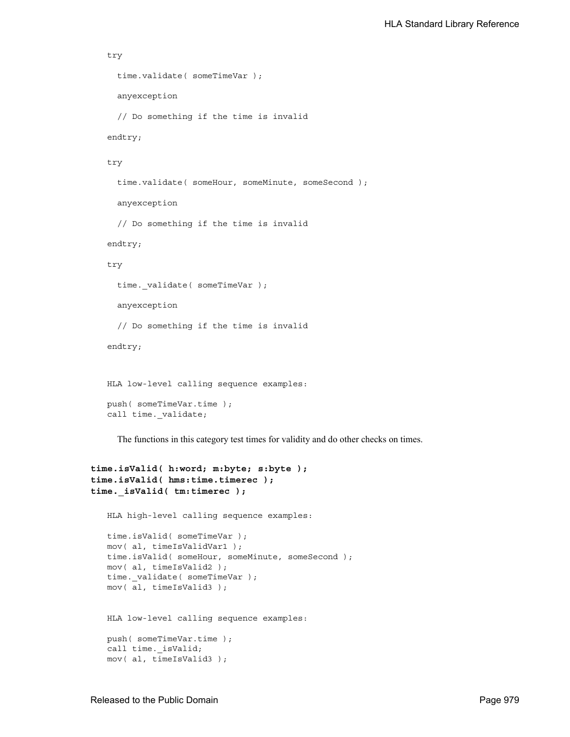```
try
  time.validate( someTimeVar );
   anyexception
  // Do something if the time is invalid
endtry;
try
  time.validate( someHour, someMinute, someSecond );
   anyexception
  // Do something if the time is invalid
endtry;
try
  time. validate( someTimeVar );
   anyexception
  // Do something if the time is invalid
endtry;
HLA low-level calling sequence examples:
push( someTimeVar.time );
call time._validate;
  The functions in this category test times for validity and do other checks on times.
```

```
time.isValid( h:word; m:byte; s:byte );
time.isValid( hms:time.timerec );
time._isValid( tm:timerec );
   HLA high-level calling sequence examples:
   time.isValid( someTimeVar );
   mov( al, timeIsValidVar1 );
   time.isValid( someHour, someMinute, someSecond );
   mov( al, timeIsValid2 );
   time. validate( someTimeVar );
   mov( al, timeIsValid3 );
   HLA low-level calling sequence examples:
   push( someTimeVar.time );
   call time. isValid;
   mov( al, timeIsValid3 );
```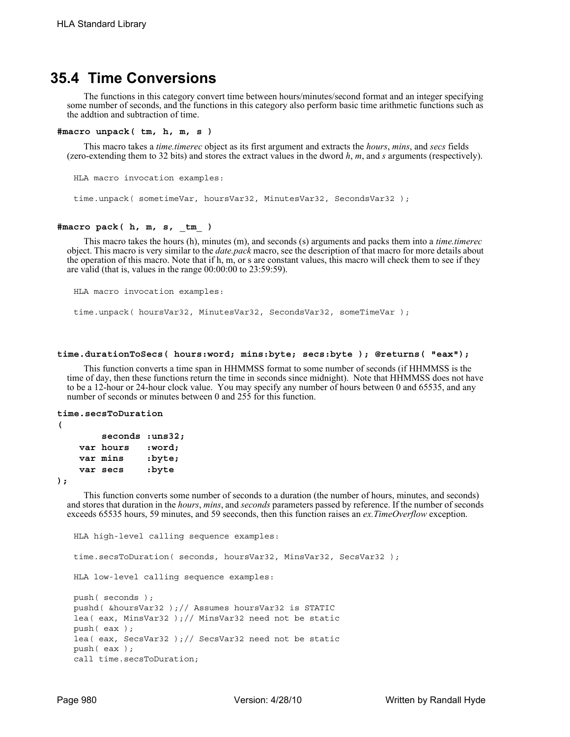# **35.4 Time Conversions**

The functions in this category convert time between hours/minutes/second format and an integer specifying some number of seconds, and the functions in this category also perform basic time arithmetic functions such as the addtion and subtraction of time.

### **#macro unpack( tm, h, m, s )**

This macro takes a *time.timerec* object as its first argument and extracts the *hours*, *mins*, and *secs* fields (zero-extending them to 32 bits) and stores the extract values in the dword *h*, *m*, and *s* arguments (respectively).

HLA macro invocation examples:

time.unpack( sometimeVar, hoursVar32, MinutesVar32, SecondsVar32 );

### **#macro pack( h, m, s, \_tm\_ )**

This macro takes the hours (h), minutes (m), and seconds (s) arguments and packs them into a *time.timerec* object. This macro is very similar to the *date.pack* macro, see the description of that macro for more details about the operation of this macro. Note that if h, m, or s are constant values, this macro will check them to see if they are valid (that is, values in the range 00:00:00 to 23:59:59).

HLA macro invocation examples:

time.unpack( hoursVar32, MinutesVar32, SecondsVar32, someTimeVar );

#### **time.durationToSecs( hours:word; mins:byte; secs:byte ); @returns( "eax");**

This function converts a time span in HHMMSS format to some number of seconds (if HHMMSS is the time of day, then these functions return the time in seconds since midnight). Note that HHMMSS does not have to be a 12-hour or 24-hour clock value. You may specify any number of hours between 0 and 65535, and any number of seconds or minutes between 0 and 255 for this function.

# **time.secsToDuration**

```
(
```

| $seconds$ : $uns32;$ |        |
|----------------------|--------|
| var hours            | :word; |
| var mins             | :byte; |
| var secs             | :byte  |

**);**

This function converts some number of seconds to a duration (the number of hours, minutes, and seconds) and stores that duration in the *hours*, *mins*, and *seconds* parameters passed by reference. If the number of seconds exceeds 65535 hours, 59 minutes, and 59 seeconds, then this function raises an *ex.TimeOverflow* exception.

```
HLA high-level calling sequence examples:
time.secsToDuration( seconds, hoursVar32, MinsVar32, SecsVar32 );
HLA low-level calling sequence examples:
push( seconds );
pushd( &hoursVar32 );// Assumes hoursVar32 is STATIC
lea( eax, MinsVar32 );// MinsVar32 need not be static
push( eax );
lea( eax, SecsVar32 );// SecsVar32 need not be static
push( eax );
call time.secsToDuration;
```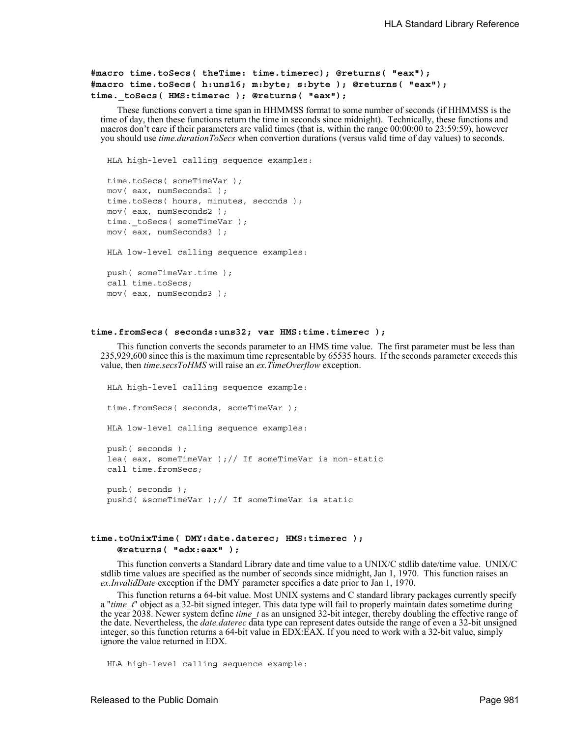```
#macro time.toSecs( theTime: time.timerec); @returns( "eax");
#macro time.toSecs( h:uns16; m:byte; s:byte ); @returns( "eax");
time._toSecs( HMS:timerec ); @returns( "eax");
```
These functions convert a time span in HHMMSS format to some number of seconds (if HHMMSS is the time of day, then these functions return the time in seconds since midnight). Technically, these functions and macros don't care if their parameters are valid times (that is, within the range 00:00:00 to 23:59:59), however you should use *time.durationToSecs* when convertion durations (versus valid time of day values) to seconds.

HLA high-level calling sequence examples:

```
time.toSecs( someTimeVar );
mov( eax, numSeconds1 );
time.toSecs( hours, minutes, seconds );
mov( eax, numSeconds2 );
time. toSecs( someTimeVar );
mov( eax, numSeconds3 );
HLA low-level calling sequence examples:
```
push( someTimeVar.time ); call time.toSecs; mov( eax, numSeconds3 );

### **time.fromSecs( seconds:uns32; var HMS:time.timerec );**

This function converts the seconds parameter to an HMS time value. The first parameter must be less than 235,929,600 since this is the maximum time representable by 65535 hours. If the seconds parameter exceeds this value, then *time.secsToHMS* will raise an *ex.TimeOverflow* exception.

```
HLA high-level calling sequence example:
time.fromSecs( seconds, someTimeVar );
HLA low-level calling sequence examples:
push( seconds );
lea( eax, someTimeVar )// If someTimeVar is non-static
call time.fromSecs;
push( seconds );
pushd( &someTimeVar );// If someTimeVar is static
```
### **time.toUnixTime( DMY:date.daterec; HMS:timerec ); @returns( "edx:eax" );**

This function converts a Standard Library date and time value to a UNIX/C stdlib date/time value. UNIX/C stdlib time values are specified as the number of seconds since midnight, Jan 1, 1970. This function raises an *ex.InvalidDate* exception if the DMY parameter specifies a date prior to Jan 1, 1970.

This function returns a 64-bit value. Most UNIX systems and C standard library packages currently specify a "*time t*" object as a 32-bit signed integer. This data type will fail to properly maintain dates sometime during the year 2038. Newer system define *time\_t* as an unsigned 32-bit integer, thereby doubling the effective range of the date. Nevertheless, the *date.daterec* data type can represent dates outside the range of even a 32-bit unsigned integer, so this function returns a 64-bit value in EDX:EAX. If you need to work with a 32-bit value, simply ignore the value returned in EDX.

HLA high-level calling sequence example: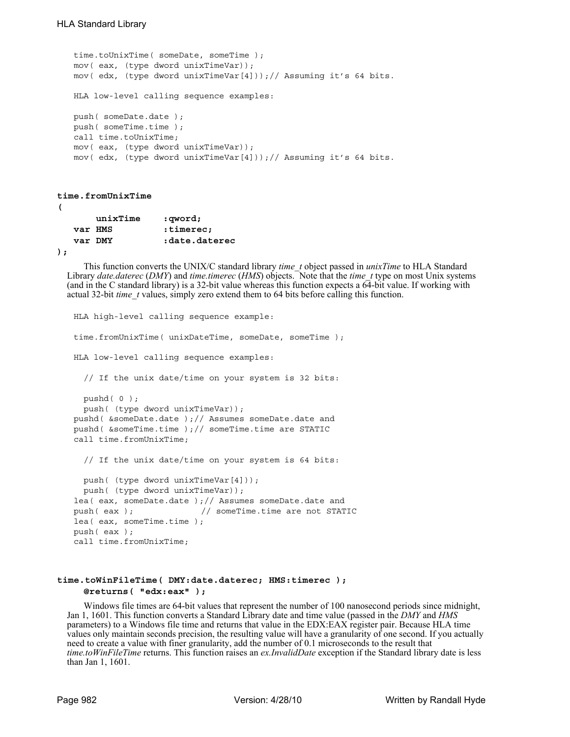```
time.toUnixTime( someDate, someTime );
mov( eax, (type dword unixTimeVar));
mov( edx, (type dword unixTimeVar[4]));// Assuming it's 64 bits.
HLA low-level calling sequence examples:
push( someDate.date );
push( someTime.time );
call time.toUnixTime;
mov( eax, (type dword unixTimeVar));
mov( edx, (type dword unixTimeVar[4]));// Assuming it's 64 bits.
```

```
time.fromUnixTime
```
**(** 

|       | unixTime | :qword;       |
|-------|----------|---------------|
|       | var HMS  | :timerec;     |
|       | var DMY  | date.daterec: |
| $)$ ; |          |               |

This function converts the UNIX/C standard library *time\_t* object passed in *unixTime* to HLA Standard Library *date.daterec* (*DMY*) and *time.timerec* (*HMS*) objects. Note that the *time\_t* type on most Unix systems (and in the C standard library) is a 32-bit value whereas this function expects a 64-bit value. If working with actual 32-bit *time\_t* values, simply zero extend them to 64 bits before calling this function.

```
HLA high-level calling sequence example:
time.fromUnixTime( unixDateTime, someDate, someTime );
HLA low-level calling sequence examples:
  // If the unix date/time on your system is 32 bits:
  pushd( 0 );
  push( (type dword unixTimeVar));
pushd( &someDate.date );// Assumes someDate.date and
pushd( &someTime.time );// someTime.time are STATIC
call time.fromUnixTime;
  // If the unix date/time on your system is 64 bits:
 push( (type dword unixTimeVar[4]));
  push( (type dword unixTimeVar));
lea( eax, someDate.date |j|/ Assumes someDate.date and
push(eax); \frac{1}{2} // someTime.time are not STATIC
lea( eax, someTime.time );
push( eax );
call time.fromUnixTime;
```
# **time.toWinFileTime( DMY:date.daterec; HMS:timerec ); @returns( "edx:eax" );**

Windows file times are 64-bit values that represent the number of 100 nanosecond periods since midnight, Jan 1, 1601. This function converts a Standard Library date and time value (passed in the *DMY* and *HMS* parameters) to a Windows file time and returns that value in the EDX:EAX register pair. Because HLA time values only maintain seconds precision, the resulting value will have a granularity of one second. If you actually need to create a value with finer granularity, add the number of 0.1 microseconds to the result that *time.toWinFileTime* returns. This function raises an *ex.InvalidDate* exception if the Standard library date is less than Jan 1, 1601.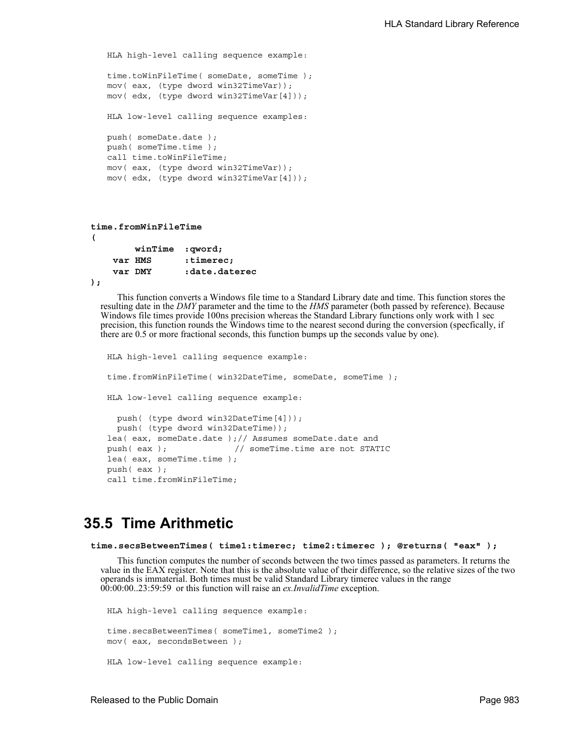```
HLA high-level calling sequence example:
time.toWinFileTime( someDate, someTime );
mov( eax, (type dword win32TimeVar));
mov( edx, (type dword win32TimeVar[4]));
HLA low-level calling sequence examples:
push( someDate.date );
push( someTime.time );
call time.toWinFileTime;
mov( eax, (type dword win32TimeVar));
mov( edx, (type dword win32TimeVar[4]));
```

```
time.fromWinFileTime
( 
        winTime :qword; 
   var HMS : timerec;
    var DMY :date.daterec
```

```
);
```
This function converts a Windows file time to a Standard Library date and time. This function stores the resulting date in the *DMY* parameter and the time to the *HMS* parameter (both passed by reference). Because Windows file times provide 100ns precision whereas the Standard Library functions only work with 1 sec precision, this function rounds the Windows time to the nearest second during the conversion (specfically, if there are 0.5 or more fractional seconds, this function bumps up the seconds value by one).

```
HLA high-level calling sequence example:
time.fromWinFileTime( win32DateTime, someDate, someTime );
HLA low-level calling sequence example:
  push( (type dword win32DateTime[4]));
  push( (type dword win32DateTime));
lea( eax, someDate.date );// Assumes someDate.date and
push(eax ); \frac{1}{2} // someTime.time are not STATIC
lea( eax, someTime.time );
push( eax );
call time.fromWinFileTime;
```
# **35.5 Time Arithmetic**

```
time.secsBetweenTimes( time1:timerec; time2:timerec ); @returns( "eax" );
```
This function computes the number of seconds between the two times passed as parameters. It returns the value in the EAX register. Note that this is the absolute value of their difference, so the relative sizes of the two operands is immaterial. Both times must be valid Standard Library timerec values in the range 00:00:00..23:59:59 or this function will raise an *ex.InvalidTime* exception.

```
HLA high-level calling sequence example:
time.secsBetweenTimes( someTime1, someTime2 );
mov( eax, secondsBetween );
HLA low-level calling sequence example:
```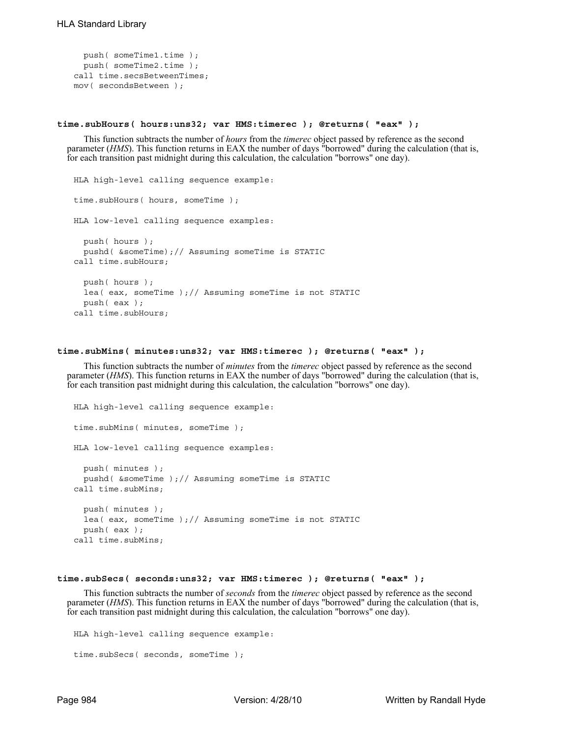```
push( someTime1.time );
  push( someTime2.time );
call time.secsBetweenTimes;
mov( secondsBetween );
```
### **time.subHours( hours:uns32; var HMS:timerec ); @returns( "eax" );**

This function subtracts the number of *hours* from the *timerec* object passed by reference as the second parameter (*HMS*). This function returns in EAX the number of days "borrowed" during the calculation (that is, for each transition past midnight during this calculation, the calculation "borrows" one day).

```
HLA high-level calling sequence example:
time.subHours( hours, someTime );
HLA low-level calling sequence examples:
  push( hours );
  pushd( &someTime);// Assuming someTime is STATIC
call time.subHours;
  push( hours );
  lea( eax, someTime );// Assuming someTime is not STATIC
  push( eax );
call time.subHours;
```
## **time.subMins( minutes:uns32; var HMS:timerec ); @returns( "eax" );**

This function subtracts the number of *minutes* from the *timerec* object passed by reference as the second parameter (*HMS*). This function returns in EAX the number of days "borrowed" during the calculation (that is, for each transition past midnight during this calculation, the calculation "borrows" one day).

```
HLA high-level calling sequence example:
time.subMins( minutes, someTime );
HLA low-level calling sequence examples:
  push( minutes );
 pushd( &someTime );// Assuming someTime is STATIC
call time.subMins;
  push( minutes );
  lea( eax, someTime );// Assuming someTime is not STATIC
  push( eax );
call time.subMins;
```
### **time.subSecs( seconds:uns32; var HMS:timerec ); @returns( "eax" );**

This function subtracts the number of *seconds* from the *timerec* object passed by reference as the second parameter (*HMS*). This function returns in EAX the number of days "borrowed" during the calculation (that is, for each transition past midnight during this calculation, the calculation "borrows" one day).

```
HLA high-level calling sequence example:
time.subSecs( seconds, someTime );
```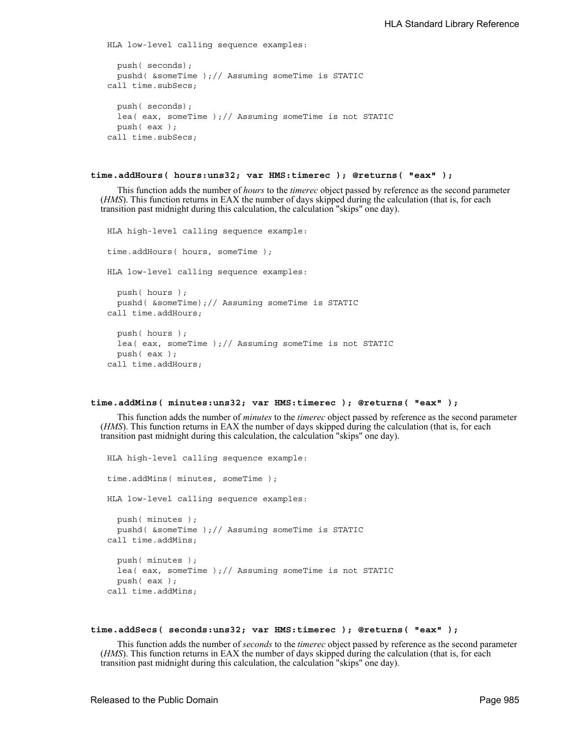HLA low-level calling sequence examples:

```
push( seconds);
 pushd( &someTime );// Assuming someTime is STATIC
call time.subSecs;
 push( seconds);
 lea( eax, someTime );// Assuming someTime is not STATIC
 push( eax );
call time.subSecs;
```

```
time.addHours( hours:uns32; var HMS:timerec ); @returns( "eax" );
```
This function adds the number of *hours* to the *timerec* object passed by reference as the second parameter (*HMS*). This function returns in EAX the number of days skipped during the calculation (that is, for each transition past midnight during this calculation, the calculation "skips" one day).

```
HLA high-level calling sequence example:
time.addHours( hours, someTime );
HLA low-level calling sequence examples:
  push( hours );
  pushd( &someTime);// Assuming someTime is STATIC
call time.addHours;
  push( hours );
  lea( eax, someTime );// Assuming someTime is not STATIC
  push( eax );
call time.addHours;
```
### **time.addMins( minutes:uns32; var HMS:timerec ); @returns( "eax" );**

This function adds the number of *minutes* to the *timerec* object passed by reference as the second parameter (*HMS*). This function returns in EAX the number of days skipped during the calculation (that is, for each transition past midnight during this calculation, the calculation "skips" one day).

```
HLA high-level calling sequence example:
time.addMins( minutes, someTime );
HLA low-level calling sequence examples:
  push( minutes );
  pushd( &someTime );// Assuming someTime is STATIC
call time.addMins;
  push( minutes );
  lea( eax, someTime ); \frac{1}{2} Assuming someTime is not STATIC
  push( eax );
call time.addMins;
```
## **time.addSecs( seconds:uns32; var HMS:timerec ); @returns( "eax" );**

This function adds the number of *seconds* to the *timerec* object passed by reference as the second parameter (*HMS*). This function returns in EAX the number of days skipped during the calculation (that is, for each transition past midnight during this calculation, the calculation "skips" one day).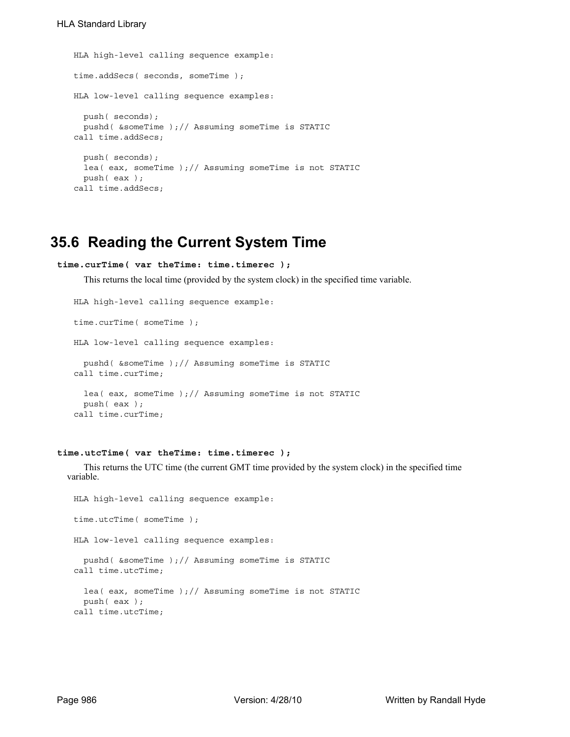```
HLA high-level calling sequence example:
time.addSecs( seconds, someTime );
HLA low-level calling sequence examples:
 push( seconds);
  pushd( &someTime );// Assuming someTime is STATIC
call time.addSecs;
  push( seconds);
  lea( eax, someTime );// Assuming someTime is not STATIC
 push( eax );
call time.addSecs;
```
# **35.6 Reading the Current System Time**

```
time.curTime( var theTime: time.timerec );
```
This returns the local time (provided by the system clock) in the specified time variable.

```
HLA high-level calling sequence example:
time.curTime( someTime );
HLA low-level calling sequence examples:
  pushd( &someTime );// Assuming someTime is STATIC
call time.curTime;
  lea( eax, someTime );// Assuming someTime is not STATIC
 push( eax );
call time.curTime;
```
# **time.utcTime( var theTime: time.timerec );**

This returns the UTC time (the current GMT time provided by the system clock) in the specified time variable.

```
HLA high-level calling sequence example:
time.utcTime( someTime );
HLA low-level calling sequence examples:
  pushd( &someTime );// Assuming someTime is STATIC
call time.utcTime;
  lea( eax, someTime );// Assuming someTime is not STATIC
 push( eax );
call time.utcTime;
```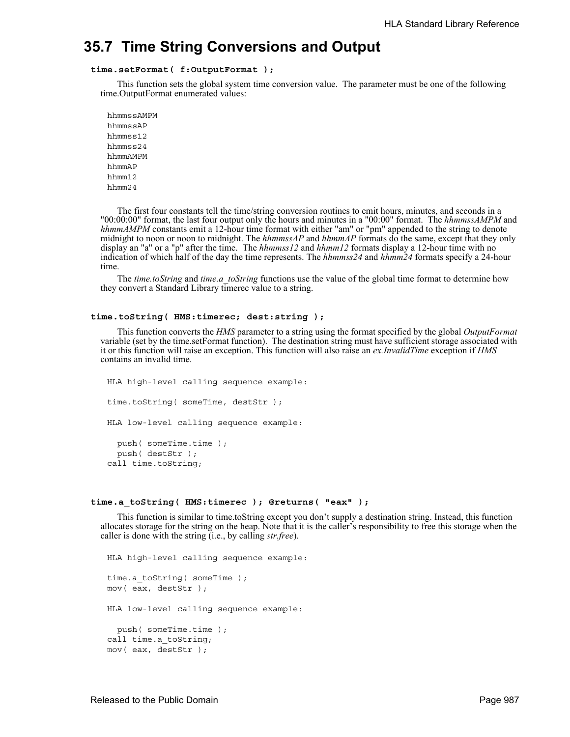# **35.7 Time String Conversions and Output**

# **time.setFormat( f:OutputFormat );**

This function sets the global system time conversion value. The parameter must be one of the following time.OutputFormat enumerated values:

hhmmssAMPM hhmmssAP hhmmss12 hhmmss24 hhmmAMPM hhmmAP hhmm12 hhmm24

The first four constants tell the time/string conversion routines to emit hours, minutes, and seconds in a "00:00:00" format, the last four output only the hours and minutes in a "00:00" format. The *hhmmssAMPM* and *hhmmAMPM* constants emit a 12-hour time format with either "am" or "pm" appended to the string to denote midnight to noon or noon to midnight. The *hhmmssAP* and *hhmmAP* formats do the same, except that they only display an "a" or a "p" after the time. The *hhmmss12* and *hhmm12* formats display a 12-hour time with no indication of which half of the day the time represents. The *hhmmss24* and *hhmm24* formats specify a 24-hour time.

The *time.toString* and *time.a\_toString* functions use the value of the global time format to determine how they convert a Standard Library timerec value to a string.

## **time.toString( HMS:timerec; dest:string );**

This function converts the *HMS* parameter to a string using the format specified by the global *OutputFormat* variable (set by the time.setFormat function). The destination string must have sufficient storage associated with it or this function will raise an exception. This function will also raise an *ex.InvalidTime* exception if *HMS* contains an invalid time.

HLA high-level calling sequence example: time.toString( someTime, destStr ); HLA low-level calling sequence example: push( someTime.time ); push( destStr ); call time.toString;

#### **time.a\_toString( HMS:timerec ); @returns( "eax" );**

This function is similar to time.toString except you don't supply a destination string. Instead, this function allocates storage for the string on the heap. Note that it is the caller's responsibility to free this storage when the caller is done with the string (i.e., by calling *str.free*).

HLA high-level calling sequence example: time.a\_toString( someTime ); mov( eax, destStr ); HLA low-level calling sequence example: push( someTime.time ); call time.a\_toString; mov( eax, destStr );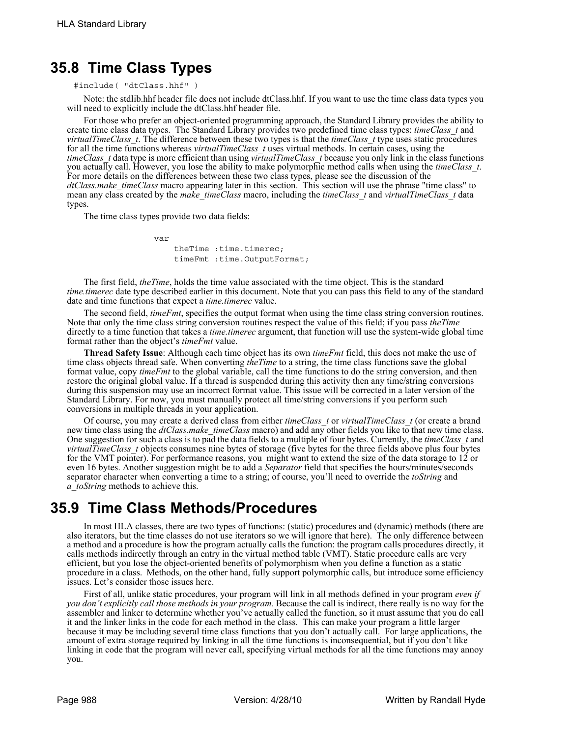# **35.8 Time Class Types**

#include( "dtClass.hhf" )

Note: the stdlib.hhf header file does not include dtClass.hhf. If you want to use the time class data types you will need to explicitly include the dtClass.hhf header file.

For those who prefer an object-oriented programming approach, the Standard Library provides the ability to create time class data types. The Standard Library provides two predefined time class types: *timeClass\_t* and *virtualTimeClass\_t*. The difference between these two types is that the *timeClass\_t* type uses static procedures for all the time functions whereas *virtualTimeClass\_t* uses virtual methods. In certain cases, using the *timeClass\_t* data type is more efficient than using *virtualTimeClass\_t* because you only link in the class functions you actually call. However, you lose the ability to make polymorphic method calls when using the *timeClass\_t*. For more details on the differences between these two class types, please see the discussion of the *dtClass.make\_timeClass* macro appearing later in this section. This section will use the phrase "time class" to mean any class created by the *make\_timeClass* macro, including the *timeClass\_t* and *virtualTimeClass\_t* data types.

The time class types provide two data fields:

var

 theTime :time.timerec; timeFmt :time.OutputFormat;

The first field, *theTime*, holds the time value associated with the time object. This is the standard *time.timerec* date type described earlier in this document. Note that you can pass this field to any of the standard date and time functions that expect a *time.timerec* value.

The second field, *timeFmt*, specifies the output format when using the time class string conversion routines. Note that only the time class string conversion routines respect the value of this field; if you pass *theTime* directly to a time function that takes a *time.timerec* argument, that function will use the system-wide global time format rather than the object's *timeFmt* value.

**Thread Safety Issue**: Although each time object has its own *timeFmt* field, this does not make the use of time class objects thread safe. When converting *theTime* to a string, the time class functions save the global format value, copy *timeFmt* to the global variable, call the time functions to do the string conversion, and then restore the original global value. If a thread is suspended during this activity then any time/string conversions during this suspension may use an incorrect format value. This issue will be corrected in a later version of the Standard Library. For now, you must manually protect all time/string conversions if you perform such conversions in multiple threads in your application.

Of course, you may create a derived class from either *timeClass\_t* or *virtualTimeClass\_t* (or create a brand new time class using the *dtClass.make\_timeClass* macro) and add any other fields you like to that new time class. One suggestion for such a class is to pad the data fields to a multiple of four bytes. Currently, the *timeClass\_t* and *virtualTimeClass\_t* objects consumes nine bytes of storage (five bytes for the three fields above plus four bytes for the VMT pointer). For performance reasons, you might want to extend the size of the data storage to 12 or even 16 bytes. Another suggestion might be to add a *Separator* field that specifies the hours/minutes/seconds separator character when converting a time to a string; of course, you'll need to override the *toString* and *a\_toString* methods to achieve this.

# **35.9 Time Class Methods/Procedures**

In most HLA classes, there are two types of functions: (static) procedures and (dynamic) methods (there are also iterators, but the time classes do not use iterators so we will ignore that here). The only difference between a method and a procedure is how the program actually calls the function: the program calls procedures directly, it calls methods indirectly through an entry in the virtual method table (VMT). Static procedure calls are very efficient, but you lose the object-oriented benefits of polymorphism when you define a function as a static procedure in a class. Methods, on the other hand, fully support polymorphic calls, but introduce some efficiency issues. Let's consider those issues here.

First of all, unlike static procedures, your program will link in all methods defined in your program *even if you don't explicitly call those methods in your program*. Because the call is indirect, there really is no way for the assembler and linker to determine whether you've actually called the function, so it must assume that you do call it and the linker links in the code for each method in the class. This can make your program a little larger because it may be including several time class functions that you don't actually call. For large applications, the amount of extra storage required by linking in all the time functions is inconsequential, but if you don't like linking in code that the program will never call, specifying virtual methods for all the time functions may annoy you.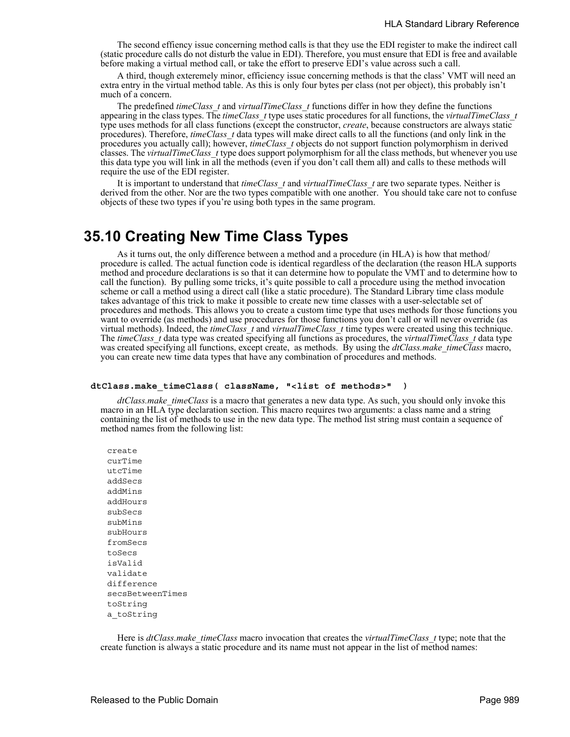The second effiency issue concerning method calls is that they use the EDI register to make the indirect call (static procedure calls do not disturb the value in EDI). Therefore, you must ensure that EDI is free and available before making a virtual method call, or take the effort to preserve EDI's value across such a call.

A third, though exteremely minor, efficiency issue concerning methods is that the class' VMT will need an extra entry in the virtual method table. As this is only four bytes per class (not per object), this probably isn't much of a concern.

The predefined *timeClass\_t* and *virtualTimeClass\_t* functions differ in how they define the functions appearing in the class types. The *timeClass\_t* type uses static procedures for all functions, the *virtualTimeClass\_t* type uses methods for all class functions (except the constructor, *create*, because constructors are always static procedures). Therefore, *timeClass\_t* data types will make direct calls to all the functions (and only link in the procedures you actually call); however, *timeClass\_t* objects do not support function polymorphism in derived classes. The *virtualTimeClass\_t* type does support polymorphism for all the class methods, but whenever you use this data type you will link in all the methods (even if you don't call them all) and calls to these methods will require the use of the EDI register.

It is important to understand that *timeClass\_t* and *virtualTimeClass\_t* are two separate types. Neither is derived from the other. Nor are the two types compatible with one another. You should take care not to confuse objects of these two types if you're using both types in the same program.

# **35.10 Creating New Time Class Types**

As it turns out, the only difference between a method and a procedure (in HLA) is how that method/ procedure is called. The actual function code is identical regardless of the declaration (the reason HLA supports method and procedure declarations is so that it can determine how to populate the VMT and to determine how to call the function). By pulling some tricks, it's quite possible to call a procedure using the method invocation scheme or call a method using a direct call (like a static procedure). The Standard Library time class module takes advantage of this trick to make it possible to create new time classes with a user-selectable set of procedures and methods. This allows you to create a custom time type that uses methods for those functions you want to override (as methods) and use procedures for those functions you don't call or will never override (as virtual methods). Indeed, the *timeClass\_t* and *virtualTimeClass\_t* time types were created using this technique. The *timeClass\_t* data type was created specifying all functions as procedures, the *virtualTimeClass\_t* data type was created specifying all functions, except create, as methods. By using the *dtClass.make\_timeClass* macro, you can create new time data types that have any combination of procedures and methods.

#### **dtClass.make\_timeClass( className, "<list of methods>" )**

*dtClass.make\_timeClass* is a macro that generates a new data type. As such, you should only invoke this macro in an HLA type declaration section. This macro requires two arguments: a class name and a string containing the list of methods to use in the new data type. The method list string must contain a sequence of method names from the following list:

create curTime utcTime addSecs addMins addHours subSecs subMins subHours fromSecs toSecs isValid validate difference secsBetweenTimes toString a\_toString

Here is *dtClass.make\_timeClass* macro invocation that creates the *virtualTimeClass\_t* type; note that the create function is always a static procedure and its name must not appear in the list of method names: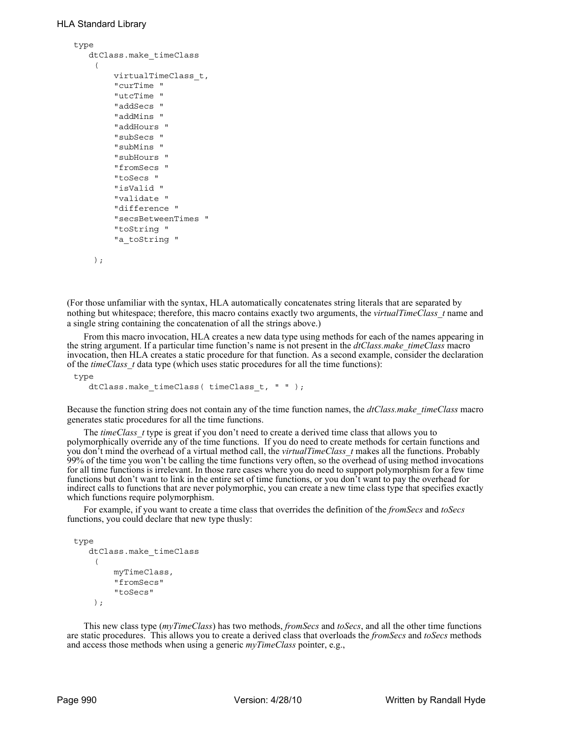```
type
    dtClass.make_timeClass
     (
         virtualTimeClass_t,
          "curTime "
          "utcTime "
          "addSecs "
          "addMins "
          "addHours "
          "subSecs "
          "subMins "
          "subHours "
          "fromSecs "
          "toSecs "
          "isValid "
          "validate "
          "difference "
          "secsBetweenTimes "
          "toString "
          "a_toString "
```

```
 );
```
(For those unfamiliar with the syntax, HLA automatically concatenates string literals that are separated by nothing but whitespace; therefore, this macro contains exactly two arguments, the *virtualTimeClass\_t* name and a single string containing the concatenation of all the strings above.)

From this macro invocation, HLA creates a new data type using methods for each of the names appearing in the string argument. If a particular time function's name is not present in the *dtClass.make\_timeClass* macro invocation, then HLA creates a static procedure for that function. As a second example, consider the declaration of the *timeClass\_t* data type (which uses static procedures for all the time functions):

type

dtClass.make\_timeClass( timeClass\_t, " " );

Because the function string does not contain any of the time function names, the *dtClass.make\_timeClass* macro generates static procedures for all the time functions.

The *timeClass* t type is great if you don't need to create a derived time class that allows you to polymorphically override any of the time functions. If you do need to create methods for certain functions and you don't mind the overhead of a virtual method call, the *virtualTimeClass\_t* makes all the functions. Probably 99% of the time you won't be calling the time functions very often, so the overhead of using method invocations for all time functions is irrelevant. In those rare cases where you do need to support polymorphism for a few time functions but don't want to link in the entire set of time functions, or you don't want to pay the overhead for indirect calls to functions that are never polymorphic, you can create a new time class type that specifies exactly which functions require polymorphism.

For example, if you want to create a time class that overrides the definition of the *fromSecs* and *toSecs* functions, you could declare that new type thusly:

```
type
    dtClass.make_timeClass
      ( 
          myTimeClass,
          "fromSecs" 
           "toSecs" 
     );
```
This new class type (*myTimeClass*) has two methods, *fromSecs* and *toSecs*, and all the other time functions are static procedures. This allows you to create a derived class that overloads the *fromSecs* and *toSecs* methods and access those methods when using a generic *myTimeClass* pointer, e.g.,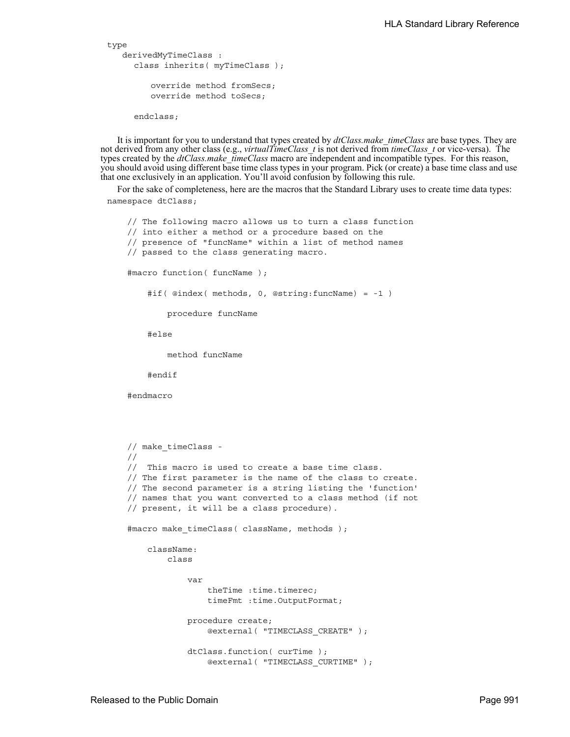```
type
    derivedMyTimeClass : 
     class inherits( myTimeClass );
         override method fromSecs;
         override method toSecs;
```
endclass;

It is important for you to understand that types created by *dtClass.make\_timeClass* are base types. They are not derived from any other class (e.g., *virtualTimeClass\_t* is not derived from *timeClass\_t* or vice-versa). The types created by the *dtClass.make\_timeClass* macro are independent and incompatible types. For this reason, you should avoid using different base time class types in your program. Pick (or create) a base time class and use that one exclusively in an application. You'll avoid confusion by following this rule.

For the sake of completeness, here are the macros that the Standard Library uses to create time data types: namespace dtClass;

```
 // The following macro allows us to turn a class function
 // into either a method or a procedure based on the
 // presence of "funcName" within a list of method names
 // passed to the class generating macro.
 #macro function( funcName );
     #if( @index( methods, 0, @string:funcName) = -1 )
         procedure funcName
     #else
         method funcName
     #endif
 #endmacro
 // make_timeClass -
 //
 // This macro is used to create a base time class.
 // The first parameter is the name of the class to create.
 // The second parameter is a string listing the 'function'
 // names that you want converted to a class method (if not
 // present, it will be a class procedure).
#macro make timeClass( className, methods );
     className: 
         class
             var
                 theTime :time.timerec;
                 timeFmt :time.OutputFormat;
             procedure create; 
                 @external( "TIMECLASS_CREATE" );
             dtClass.function( curTime );
                 @external( "TIMECLASS_CURTIME" );
```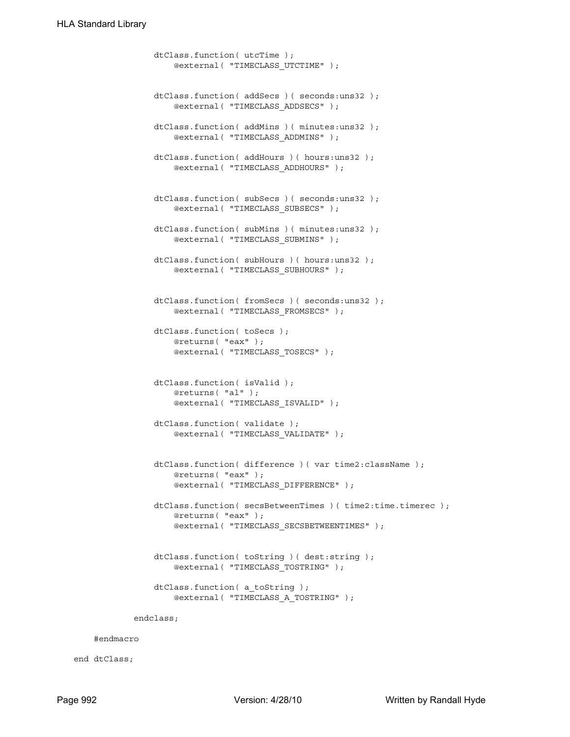```
 dtClass.function( utcTime );
         @external( "TIMECLASS_UTCTIME" );
     dtClass.function( addSecs )( seconds:uns32 );
         @external( "TIMECLASS_ADDSECS" );
     dtClass.function( addMins )( minutes:uns32 );
         @external( "TIMECLASS_ADDMINS" );
     dtClass.function( addHours )( hours:uns32 );
         @external( "TIMECLASS_ADDHOURS" );
     dtClass.function( subSecs )( seconds:uns32 );
         @external( "TIMECLASS_SUBSECS" );
    dtClass.function( subMins )( minutes: uns32 );
         @external( "TIMECLASS_SUBMINS" );
    dtClass.function( subHours )( hours: uns32 );
         @external( "TIMECLASS_SUBHOURS" );
     dtClass.function( fromSecs )( seconds:uns32 );
         @external( "TIMECLASS_FROMSECS" );
     dtClass.function( toSecs );
         @returns( "eax" );
         @external( "TIMECLASS_TOSECS" );
     dtClass.function( isValid );
         @returns( "al" );
         @external( "TIMECLASS_ISVALID" );
     dtClass.function( validate );
         @external( "TIMECLASS_VALIDATE" );
     dtClass.function( difference )( var time2:className );
         @returns( "eax" );
         @external( "TIMECLASS_DIFFERENCE" );
     dtClass.function( secsBetweenTimes )( time2:time.timerec );
         @returns( "eax" );
         @external( "TIMECLASS_SECSBETWEENTIMES" );
    dtClass.function( toString )( dest:string );
         @external( "TIMECLASS_TOSTRING" );
    dtClass.function( a toString );
         @external( "TIMECLASS_A_TOSTRING" );
 endclass;
```
#endmacro

end dtClass;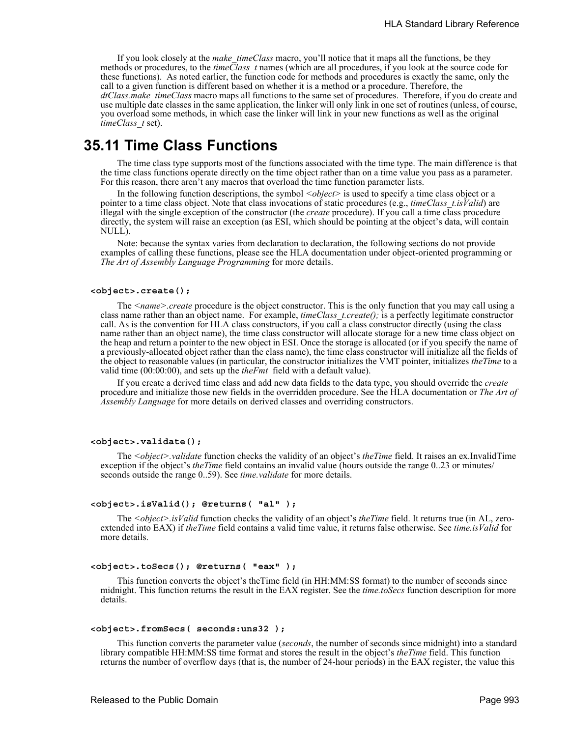If you look closely at the *make\_timeClass* macro, you'll notice that it maps all the functions, be they methods or procedures, to the *timeClass\_t* names (which are all procedures, if you look at the source code for these functions). As noted earlier, the function code for methods and procedures is exactly the same, only the call to a given function is different based on whether it is a method or a procedure. Therefore, the *dtClass.make\_timeClass* macro maps all functions to the same set of procedures. Therefore, if you do create and use multiple date classes in the same application, the linker will only link in one set of routines (unless, of course, you overload some methods, in which case the linker will link in your new functions as well as the original *timeClass\_t* set).

# **35.11 Time Class Functions**

The time class type supports most of the functions associated with the time type. The main difference is that the time class functions operate directly on the time object rather than on a time value you pass as a parameter. For this reason, there aren't any macros that overload the time function parameter lists.

In the following function descriptions, the symbol  $\langle object \rangle$  is used to specify a time class object or a pointer to a time class object. Note that class invocations of static procedures (e.g., *timeClass t.isValid*) are illegal with the single exception of the constructor (the *create* procedure). If you call a time class procedure directly, the system will raise an exception (as ESI, which should be pointing at the object's data, will contain NULL).

Note: because the syntax varies from declaration to declaration, the following sections do not provide examples of calling these functions, please see the HLA documentation under object-oriented programming or *The Art of Assembly Language Programming* for more details.

### **<object>.create();**

The *<name>.create* procedure is the object constructor. This is the only function that you may call using a class name rather than an object name. For example, *timeClass t.create()*; is a perfectly legitimate constructor call. As is the convention for HLA class constructors, if you call a class constructor directly (using the class name rather than an object name), the time class constructor will allocate storage for a new time class object on the heap and return a pointer to the new object in ESI. Once the storage is allocated (or if you specify the name of a previously-allocated object rather than the class name), the time class constructor will initialize all the fields of the object to reasonable values (in particular, the constructor initializes the VMT pointer, initializes *theTime* to a valid time (00:00:00), and sets up the *theFmt* field with a default value).

If you create a derived time class and add new data fields to the data type, you should override the *create* procedure and initialize those new fields in the overridden procedure. See the HLA documentation or *The Art of Assembly Language* for more details on derived classes and overriding constructors.

#### **<object>.validate();**

The *<object>.validate* function checks the validity of an object's *theTime* field. It raises an ex.InvalidTime exception if the object's *theTime* field contains an invalid value (hours outside the range 0..23 or minutes/ seconds outside the range 0..59). See *time.validate* for more details.

## **<object>.isValid(); @returns( "al" );**

The *<object>.isValid* function checks the validity of an object's *theTime* field. It returns true (in AL, zeroextended into EAX) if *theTime* field contains a valid time value, it returns false otherwise. See *time.isValid* for more details.

### **<object>.toSecs(); @returns( "eax" );**

This function converts the object's theTime field (in HH:MM:SS format) to the number of seconds since midnight. This function returns the result in the EAX register. See the *time.toSecs* function description for more details.

### **<object>.fromSecs( seconds:uns32 );**

This function converts the parameter value (*seconds*, the number of seconds since midnight) into a standard library compatible HH:MM:SS time format and stores the result in the object's *theTime* field. This function returns the number of overflow days (that is, the number of 24-hour periods) in the EAX register, the value this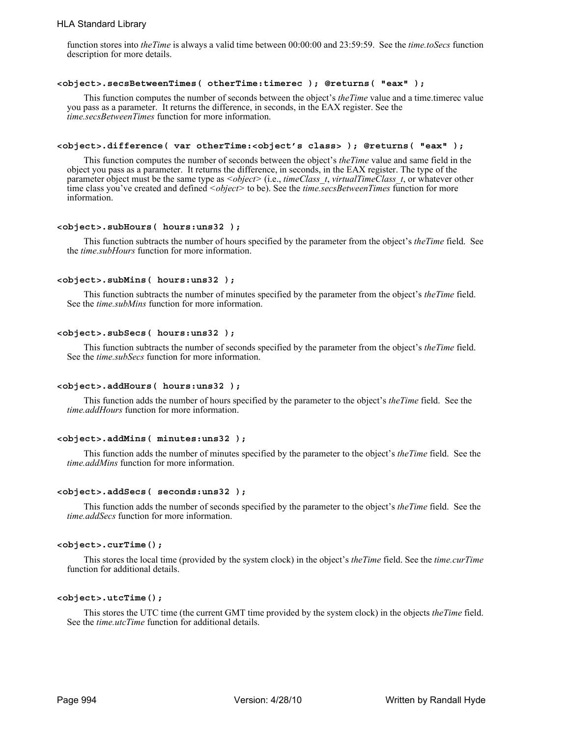# HLA Standard Library

function stores into *theTime* is always a valid time between 00:00:00 and 23:59:59. See the *time.toSecs* function description for more details.

### **<object>.secsBetweenTimes( otherTime:timerec ); @returns( "eax" );**

This function computes the number of seconds between the object's *theTime* value and a time.timerec value you pass as a parameter. It returns the difference, in seconds, in the EAX register. See the *time.secsBetweenTimes* function for more information.

### **<object>.difference( var otherTime:<object's class> ); @returns( "eax" );**

This function computes the number of seconds between the object's *theTime* value and same field in the object you pass as a parameter. It returns the difference, in seconds, in the EAX register. The type of the parameter object must be the same type as *<object>* (i.e., *timeClass\_t*, *virtualTimeClass\_t*, or whatever other time class you've created and defined *<object>* to be). See the *time.secsBetweenTimes* function for more information.

### **<object>.subHours( hours:uns32 );**

This function subtracts the number of hours specified by the parameter from the object's *theTime* field. See the *time.subHours* function for more information.

### **<object>.subMins( hours:uns32 );**

This function subtracts the number of minutes specified by the parameter from the object's *theTime* field. See the *time.subMins* function for more information.

### **<object>.subSecs( hours:uns32 );**

This function subtracts the number of seconds specified by the parameter from the object's *theTime* field. See the *time.subSecs* function for more information.

#### **<object>.addHours( hours:uns32 );**

This function adds the number of hours specified by the parameter to the object's *theTime* field. See the *time.addHours* function for more information.

### **<object>.addMins( minutes:uns32 );**

This function adds the number of minutes specified by the parameter to the object's *theTime* field. See the *time.addMins* function for more information.

## **<object>.addSecs( seconds:uns32 );**

This function adds the number of seconds specified by the parameter to the object's *theTime* field. See the *time.addSecs* function for more information.

#### **<object>.curTime();**

This stores the local time (provided by the system clock) in the object's *theTime* field. See the *time.curTime* function for additional details.

### **<object>.utcTime();**

This stores the UTC time (the current GMT time provided by the system clock) in the objects *theTime* field. See the *time.utcTime* function for additional details.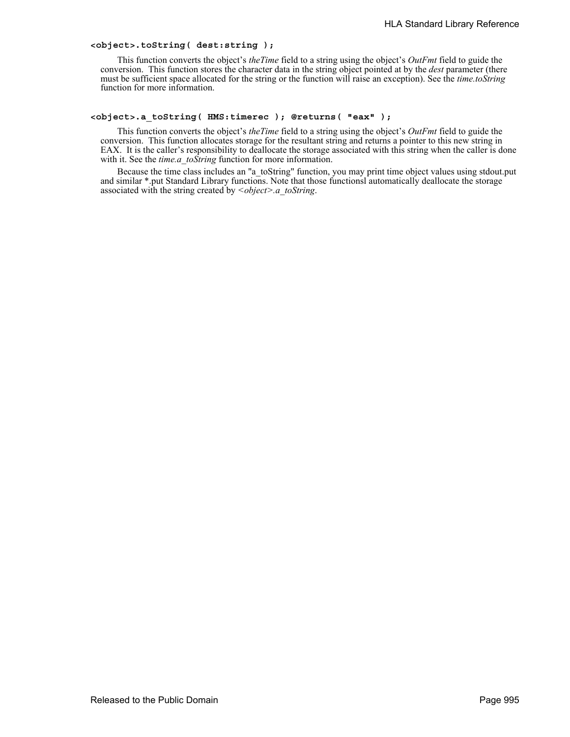## **<object>.toString( dest:string );**

This function converts the object's *theTime* field to a string using the object's *OutFmt* field to guide the conversion. This function stores the character data in the string object pointed at by the *dest* parameter (there must be sufficient space allocated for the string or the function will raise an exception). See the *time.toString* function for more information.

### **<object>.a\_toString( HMS:timerec ); @returns( "eax" );**

This function converts the object's *theTime* field to a string using the object's *OutFmt* field to guide the conversion. This function allocates storage for the resultant string and returns a pointer to this new string in EAX. It is the caller's responsibility to deallocate the storage associated with this string when the caller is done with it. See the *time.a\_toString* function for more information.

Because the time class includes an "a\_toString" function, you may print time object values using stdout.put and similar \*.put Standard Library functions. Note that those functionsl automatically deallocate the storage associated with the string created by *<object>.a\_toString*.